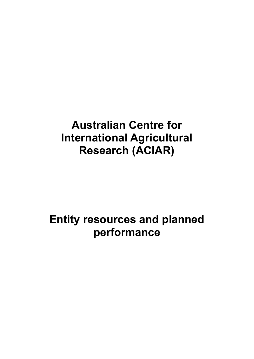# **Australian Centre for International Agricultural Research (ACIAR)**

# **Entity resources and planned performance**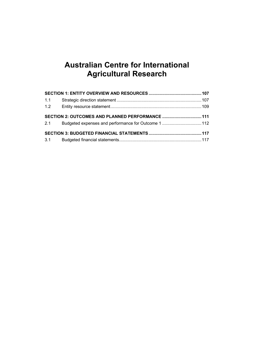## **Australian Centre for International Agricultural Research**

| 1.1 |                                                  |  |
|-----|--------------------------------------------------|--|
|     |                                                  |  |
|     | SECTION 2: OUTCOMES AND PLANNED PERFORMANCE  111 |  |
|     |                                                  |  |
|     |                                                  |  |
|     |                                                  |  |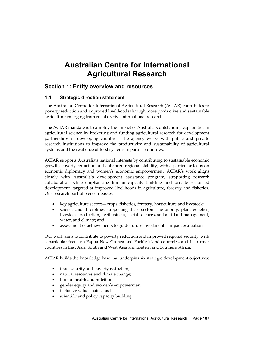## **Australian Centre for International Agricultural Research**

### <span id="page-4-0"></span>**Section 1: Entity overview and resources**

#### <span id="page-4-1"></span>**1.1 Strategic direction statement**

The Australian Centre for International Agricultural Research (ACIAR) contributes to poverty reduction and improved livelihoods through more productive and sustainable agriculture emerging from collaborative international research.

The ACIAR mandate is to amplify the impact of Australia's outstanding capabilities in agricultural science by brokering and funding agricultural research for development partnerships in developing countries. The agency works with public and private research institutions to improve the productivity and sustainability of agricultural systems and the resilience of food systems in partner countries.

ACIAR supports Australia's national interests by contributing to sustainable economic growth, poverty reduction and enhanced regional stability, with a particular focus on economic diplomacy and women's economic empowerment. ACIAR's work aligns closely with Australia's development assistance program, supporting research collaboration while emphasising human capacity building and private sector-led development, targeted at improved livelihoods in agriculture, forestry and fisheries. Our research portfolio encompasses:

- key agriculture sectors—crops, fisheries, forestry, horticulture and livestock;
- science and disciplines supporting these sectors—agronomy, plant genetics, livestock production, agribusiness, social sciences, soil and land management, water, and climate; and
- assessment of achievements to guide future investment—impact evaluation.

Our work aims to contribute to poverty reduction and improved regional security, with a particular focus on Papua New Guinea and Pacific island countries, and in partner countries in East Asia, South and West Asia and Eastern and Southern Africa.

ACIAR builds the knowledge base that underpins six strategic development objectives:

- food security and poverty reduction;
- natural resources and climate change;
- human health and nutrition;
- gender equity and women's empowerment;
- inclusive value chains; and
- scientific and policy capacity building.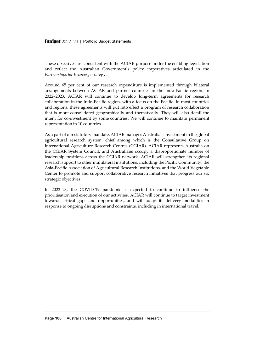Budget 2022-23 | Portfolio Budget Statements

These objectives are consistent with the ACIAR purpose under the enabling legislation and reflect the Australian Government's policy imperatives articulated in the *Partnerships for Recovery* strategy.

Around 65 per cent of our research expenditure is implemented through bilateral arrangements between ACIAR and partner countries in the Indo-Pacific region. In 2022–2023, ACIAR will continue to develop long-term agreements for research collaboration in the Indo-Pacific region, with a focus on the Pacific. In most countries and regions, these agreements will put into effect a program of research collaboration that is more consolidated geographically and thematically. They will also detail the intent for co-investment by some countries. We will continue to maintain permanent representation in 10 countries.

As a part of our statutory mandate, ACIAR manages Australia's investment in the global agricultural research system, chief among which is the Consultative Group on International Agriculture Research Centres (CGIAR). ACIAR represents Australia on the CGIAR System Council, and Australians occupy a disproportionate number of leadership positions across the CGIAR network. ACIAR will strengthen its regional research support to other multilateral institutions, including the Pacific Community, the Asia-Pacific Association of Agricultural Research Institutions, and the World Vegetable Center to promote and support collaborative research initiatives that progress our six strategic objectives.

In 2022–23, the COVID-19 pandemic is expected to continue to influence the prioritisation and execution of our activities. ACIAR will continue to target investment towards critical gaps and opportunities, and will adapt its delivery modalities in response to ongoing disruptions and constraints, including in international travel.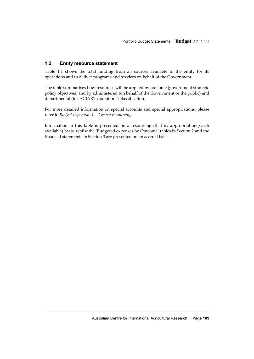#### <span id="page-6-0"></span>**1.2 Entity resource statement**

Table 1.1 shows the total funding from all sources available to the entity for its operations and to deliver programs and services on behalf of the Government.

The table summarises how resources will be applied by outcome (government strategic policy objectives) and by administered (on behalf of the Government or the public) and departmental (for ACIAR's operations) classification.

For more detailed information on special accounts and special appropriations, please refer to *Budget Paper No. 4 – Agency Resourcing*.

Information in this table is presented on a resourcing (that is, appropriations/cash available) basis, whilst the 'Budgeted expenses by Outcome' tables in Section 2 and the financial statements in Section 3 are presented on an accrual basis.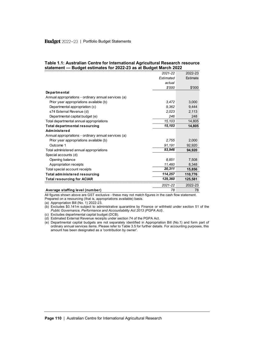|                                                      | 2021-22   | 2022-23  |
|------------------------------------------------------|-----------|----------|
|                                                      | Estimated | Estimate |
|                                                      | actual    |          |
|                                                      | \$'000    | \$'000   |
| Departmental                                         |           |          |
| Annual appropriations - ordinary annual services (a) |           |          |
| Prior year appropriations available (b)              | 3.472     | 3.000    |
| Departmental appropriation (c)                       | 9.362     | 9,444    |
| s74 External Revenue (d)                             | 2,023     | 2,113    |
| Departmental capital budget (e)                      | 246       | 248      |
| Total departmental annual appropriations             | 15,103    | 14,805   |
| <b>Total departmental resourcing</b>                 | 15,103    | 14,805   |
| Administered                                         |           |          |
| Annual appropriations - ordinary annual services (a) |           |          |
| Prior year appropriations available (b)              | 2.755     | 2.000    |
| Outcome 1                                            | 91.191    | 92,920   |
| Total administered annual appropriations             | 93,946    | 94,920   |
| Special accounts (d)                                 |           |          |
| Opening balance                                      | 8.851     | 7,508    |
| Appropriation receipts                               | 11,460    | 8.348    |
| Total special account receipts                       | 20,311    | 15,856   |
| <b>Total administered resourcing</b>                 | 114,257   | 110,776  |
| Total resourcing for ACIAR                           | 129,360   | 125,581  |
|                                                      | 2021-22   | 2022-23  |
| Average staffing level (number)                      | 78        | 78       |

#### **Table 1.1: Australian Centre for International Agricultural Research resource statement — Budget estimates for 2022-23 as at Budget March 2022**

All figures shown above are GST exclusive - these may not match figures in the cash flow statement.

Prepared on a resourcing (that is, appropriations available) basis.

(a) Appropriation Bill (No. 1) 2022-23.

- (b) Excludes \$0.141m subject to administrative quarantine by Finance or withheld under section 51 of the *Public Governance, Performance and Accountability Act 2013 (PGPA Act)*.
- (c) Excludes departmental capital budget (DCB).
- (d) Estimated External Revenue receipts under section 74 of the PGPA Act.
- (e) Departmental capital budgets are not separately identified in Appropriation Bill (No.1) and form part of ordinary annual services items. Please refer to Table 3.5 for further details. For accounting purposes, this amount has been designated as a 'contribution by owner'.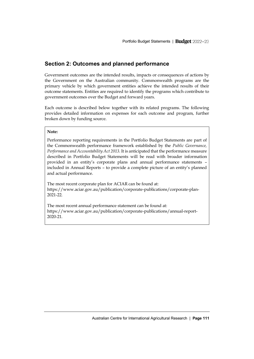### <span id="page-8-0"></span>**Section 2: Outcomes and planned performance**

Government outcomes are the intended results, impacts or consequences of actions by the Government on the Australian community. Commonwealth programs are the primary vehicle by which government entities achieve the intended results of their outcome statements. Entities are required to identify the programs which contribute to government outcomes over the Budget and forward years.

Each outcome is described below together with its related programs. The following provides detailed information on expenses for each outcome and program, further broken down by funding source.

#### **Note:**

Performance reporting requirements in the Portfolio Budget Statements are part of the Commonwealth performance framework established by the *Public Governance, Performance and Accountability Act 2013*. It is anticipated that the performance measure described in Portfolio Budget Statements will be read with broader information provided in an entity's corporate plans and annual performance statements – included in Annual Reports – to provide a complete picture of an entity's planned and actual performance.

The most recent corporate plan for ACIAR can be found at: [https://www.aciar.gov.au/publication/corporate-publications/corporate-plan-](https://www.aciar.gov.au/publication/corporate-publications/corporate-plan-2021-22)[2021-22.](https://www.aciar.gov.au/publication/corporate-publications/corporate-plan-2021-22)

The most recent annual performance statement can be found at: [https://www.aciar.gov.au/publication/corporate-publications/annual-report-](https://www.aciar.gov.au/publication/corporate-publications/annual-report-2020-21)[2020-21.](https://www.aciar.gov.au/publication/corporate-publications/annual-report-2020-21)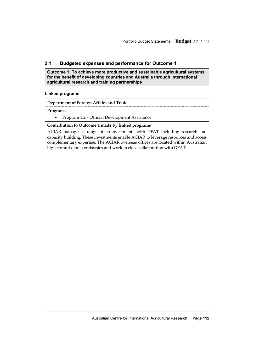#### <span id="page-9-0"></span>**2.1 Budgeted expenses and performance for Outcome 1**

**Outcome 1: To achieve more productive and sustainable agricultural systems for the benefit of developing countries and Australia through international agricultural research and training partnerships**

#### **Linked programs**

**Department of Foreign Affairs and Trade**

#### **Programs**

• Program 1.2 – Official Development Assistance

#### **Contribution to Outcome 1 made by linked programs**

ACIAR manages a range of co-investments with DFAT including research and capacity building. These investments enable ACIAR to leverage resources and access complementary expertise. The ACIAR overseas offices are located within Australian high commissions/embassies and work in close collaboration with DFAT.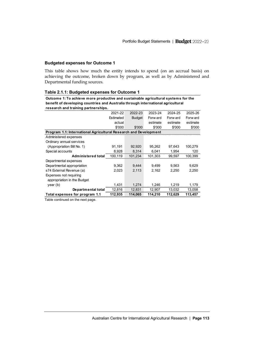#### **Budgeted expenses for Outcome 1**

This table shows how much the entity intends to spend (on an accrual basis) on achieving the outcome, broken down by program, as well as by Administered and Departmental funding sources.

**Outcome 1: To achieve more productive and sustainable agricultural systems for the** 

| benefit of developing countries and Australia through international agricultural      |           |               |          |          |          |  |  |
|---------------------------------------------------------------------------------------|-----------|---------------|----------|----------|----------|--|--|
| research and training partnerships.                                                   |           |               |          |          |          |  |  |
|                                                                                       | 2021-22   | 2022-23       | 2023-24  | 2024-25  | 2025-26  |  |  |
|                                                                                       | Estimated | <b>Budget</b> | Forw ard | Forw ard | Forw ard |  |  |
|                                                                                       | actual    |               | estimate | estimate | estimate |  |  |
|                                                                                       | \$'000    | \$'000        | \$'000   | \$'000   | \$'000   |  |  |
| Program 1.1: International Agricultural Research and Development                      |           |               |          |          |          |  |  |
| Administered expenses                                                                 |           |               |          |          |          |  |  |
| Ordinary annual services                                                              |           |               |          |          |          |  |  |
| (Appropriation Bill No. 1)                                                            | 91,191    | 92,920        | 95,262   | 97,643   | 100,279  |  |  |
| Special accounts                                                                      | 8.928     | 8.314         | 6,041    | 1,954    | 120      |  |  |
| <b>Administered total</b>                                                             | 100,119   | 101.234       | 101,303  | 99,597   | 100,399  |  |  |
| Departmental expenses                                                                 |           |               |          |          |          |  |  |
| Departmental appropriation                                                            | 9,362     | 9.444         | 9.499    | 9,563    | 9,629    |  |  |
| s74 External Revenue (a)                                                              | 2,023     | 2,113         | 2,162    | 2,250    | 2,250    |  |  |
| Expenses not requiring                                                                |           |               |          |          |          |  |  |
| appropriation in the Budget                                                           |           |               |          |          |          |  |  |
| year (b)                                                                              | 1,431     | 1,274         | 1,246    | 1,219    | 1,179    |  |  |
| Departmental total                                                                    | 12,816    | 12,831        | 12,907   | 13,032   | 13,058   |  |  |
| Total expenses for program 1.1<br>112,935<br>114,065<br>114,210<br>112,629<br>113,457 |           |               |          |          |          |  |  |

#### **Table 2.1.1: Budgeted expenses for Outcome 1**

Table continued on the next page.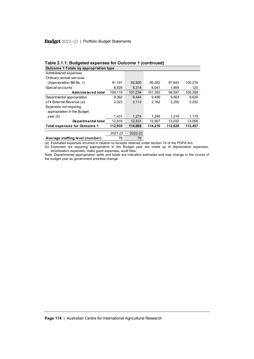### Budget 2022-23 | Portfolio Budget Statements

| Table 2.1.1: Budgeted expenses for Outcome 1 (continued) |                                        |         |         |         |         |  |  |  |
|----------------------------------------------------------|----------------------------------------|---------|---------|---------|---------|--|--|--|
|                                                          | Outcome 1 Totals by appropriation type |         |         |         |         |  |  |  |
| Administered expenses                                    |                                        |         |         |         |         |  |  |  |
| Ordinary annual services                                 |                                        |         |         |         |         |  |  |  |
| (Appropriation Bill No. 1)                               | 91.191                                 | 92,920  | 95.262  | 97.643  | 100.279 |  |  |  |
| Special accounts                                         | 8,928                                  | 8.314   | 6.041   | 1.954   | 120     |  |  |  |
| <b>Administered total</b>                                | 100,119                                | 101.234 | 101.303 | 99.597  | 100.399 |  |  |  |
| Departmental appropriation                               | 9.362                                  | 9.444   | 9.499   | 9.563   | 9.629   |  |  |  |
| s74 External Revenue (a)                                 | 2.023                                  | 2.113   | 2.162   | 2.250   | 2.250   |  |  |  |
| Expenses not requiring                                   |                                        |         |         |         |         |  |  |  |
| appropriation in the Budget                              |                                        |         |         |         |         |  |  |  |
| $\mathsf{year}\left(\mathsf{b}\right)$                   | 1.431                                  | 1.274   | 1.246   | 1.219   | 1.179   |  |  |  |
| Departmental total                                       | 12.816                                 | 12.831  | 12.907  | 13.032  | 13,058  |  |  |  |
| <b>Total expenses for Outcome 1</b>                      | 112.935                                | 114.065 | 114.210 | 112.629 | 113,457 |  |  |  |
|                                                          | 2021-22                                | 2022-23 |         |         |         |  |  |  |
| Average staffing level (number)                          | 78                                     | 78      |         |         |         |  |  |  |

#### **Table 2.1.1: Budgeted expenses for Outcome 1 (continued)**

(a) Estimated expenses incurred in relation to receipts retained under section 74 of the PGPA Act.

(b) Expenses not requiring appropriation in the Budget year are made up of depreciation expenses, amortisation expenses, make good expenses, audit fees.

Note: Departmental appropriation splits and totals are indicative estimates and may change in the course of the budget year as government priorities change.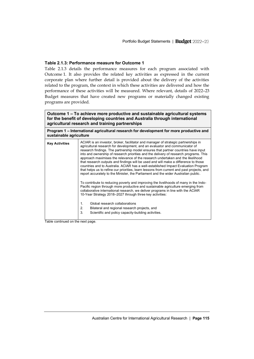#### **Table 2.1.3: Performance measure for Outcome 1**

Table 2.1.3 details the performance measures for each program associated with Outcome 1. It also provides the related key activities as expressed in the current corporate plan where further detail is provided about the delivery of the activities related to the program, the context in which these activities are delivered and how the performance of these activities will be measured. Where relevant, details of 2022–23 Budget measures that have created new programs or materially changed existing programs are provided.

| Outcome 1 – To achieve more productive and sustainable agricultural systems |
|-----------------------------------------------------------------------------|
| for the benefit of developing countries and Australia through international |
| agricultural research and training partnerships                             |

**Program 1 – International agricultural research for development for more productive and sustainable agriculture** 

| ACIAR is an investor, broker, facilitator and manager of strategic partnerships in<br>agricultural research for development, and an evaluator and communicator of<br>research findings. The partnership model ensures that partner countries have input<br>into and ownership of research priorities and the delivery of research programs. This<br>approach maximises the relevance of the research undertaken and the likelihood<br>that research outputs and findings will be used and will make a difference to those<br>countries and to Australia. ACIAR has a well-established Impact Evaluation Program<br>that helps us to refine our priorities, learn lessons from current and past projects, and<br>report accurately to the Minister, the Parliament and the wider Australian public. |
|----------------------------------------------------------------------------------------------------------------------------------------------------------------------------------------------------------------------------------------------------------------------------------------------------------------------------------------------------------------------------------------------------------------------------------------------------------------------------------------------------------------------------------------------------------------------------------------------------------------------------------------------------------------------------------------------------------------------------------------------------------------------------------------------------|
| To contribute to reducing poverty and improving the livelihoods of many in the Indo-<br>Pacific region through more productive and sustainable agriculture emerging from<br>collaborative international research, we deliver programs in line with the ACIAR<br>10-Year Strategy 2018-2027 through three key activities:<br>Global research collaborations<br>$\mathbf{1}$ .<br>2.<br>Bilateral and regional research projects, and<br>3<br>Scientific and policy capacity-building activities.                                                                                                                                                                                                                                                                                                    |
|                                                                                                                                                                                                                                                                                                                                                                                                                                                                                                                                                                                                                                                                                                                                                                                                    |

Table continued on the next page.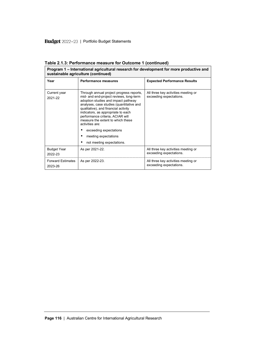| Program 1 – International agricultural research for development for more productive and<br>sustainable agriculture (continued) |                                                                                                                                                                                                                                                                                                                                                                                                                                 |                                                                |  |  |  |  |
|--------------------------------------------------------------------------------------------------------------------------------|---------------------------------------------------------------------------------------------------------------------------------------------------------------------------------------------------------------------------------------------------------------------------------------------------------------------------------------------------------------------------------------------------------------------------------|----------------------------------------------------------------|--|--|--|--|
| Year                                                                                                                           | Performance measures                                                                                                                                                                                                                                                                                                                                                                                                            | <b>Expected Performance Results</b>                            |  |  |  |  |
| Current year<br>2021-22                                                                                                        | Through annual project progress reports,<br>mid- and end-project reviews, long-term<br>adoption studies and impact pathway<br>analyses, case studies (quantitative and<br>qualitative), and financial activity<br>indicators, as appropriate to each<br>performance criteria, ACIAR will<br>measure the extent to which these<br>activities are:<br>exceeding expectations<br>meeting expectations<br>not meeting expectations. | All three key activities meeting or<br>exceeding expectations. |  |  |  |  |
| <b>Budget Year</b><br>2022-23                                                                                                  | As per 2021-22.                                                                                                                                                                                                                                                                                                                                                                                                                 | All three key activities meeting or<br>exceeding expectations. |  |  |  |  |
| <b>Forward Estimates</b><br>2023-26                                                                                            | As per 2022-23.                                                                                                                                                                                                                                                                                                                                                                                                                 | All three key activities meeting or<br>exceeding expectations. |  |  |  |  |

**Table 2.1.3: Performance measure for Outcome 1 (continued)**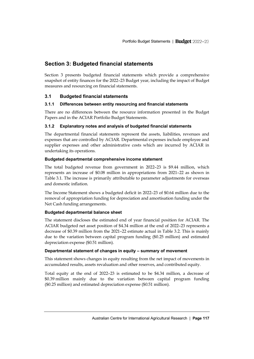### <span id="page-14-0"></span>**Section 3: Budgeted financial statements**

Section 3 presents budgeted financial statements which provide a comprehensive snapshot of entity finances for the 2022–23 Budget year, including the impact of Budget measures and resourcing on financial statements.

#### <span id="page-14-1"></span>**3.1 Budgeted financial statements**

#### **3.1.1 Differences between entity resourcing and financial statements**

There are no differences between the resource information presented in the Budget Papers and in the ACIAR Portfolio Budget Statements.

#### **3.1.2 Explanatory notes and analysis of budgeted financial statements**

The departmental financial statements represent the assets, liabilities, revenues and expenses that are controlled by ACIAR. Departmental expenses include employee and supplier expenses and other administrative costs which are incurred by ACIAR in undertaking its operations.

#### **Budgeted departmental comprehensive income statement**

The total budgeted revenue from government in 2022–23 is \$9.44 million, which represents an increase of \$0.08 million in appropriations from 2021–22 as shown in Table 3.1. The increase is primarily attributable to parameter adjustments for overseas and domestic inflation.

The Income Statement shows a budgeted deficit in 2022–23 of \$0.64 million due to the removal of appropriation funding for depreciation and amortisation funding under the Net Cash funding arrangements.

#### **Budgeted departmental balance sheet**

The statement discloses the estimated end of year financial position for ACIAR. The ACIAR budgeted net asset position of \$4.34 million at the end of 2022–23 represents a decrease of \$0.39 million from the 2021–22 estimate actual in Table 3.2. This is mainly due to the variation between capital program funding (\$0.25 million) and estimated depreciation expense (\$0.51 million).

#### **Departmental statement of changes in equity – summary of movement**

This statement shows changes in equity resulting from the net impact of movements in accumulated results, assets revaluation and other reserves, and contributed equity.

Total equity at the end of 2022–23 is estimated to be \$4.34 million, a decrease of \$0.39 million mainly due to the variation between capital program funding (\$0.25 million) and estimated depreciation expense (\$0.51 million).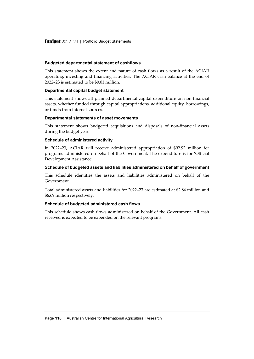#### **Budgeted departmental statement of cashflows**

This statement shows the extent and nature of cash flows as a result of the ACIAR operating, investing and financing activities. The ACIAR cash balance at the end of 2022–23 is estimated to be \$0.01 million.

#### **Departmental capital budget statement**

This statement shows all planned departmental capital expenditure on non-financial assets, whether funded through capital appropriations, additional equity, borrowings, or funds from internal sources.

#### **Departmental statements of asset movements**

This statement shows budgeted acquisitions and disposals of non-financial assets during the budget year.

#### **Schedule of administered activity**

In 2022–23, ACIAR will receive administered appropriation of \$92.92 million for programs administered on behalf of the Government. The expenditure is for 'Official Development Assistance'.

#### **Schedule of budgeted assets and liabilities administered on behalf of government**

This schedule identifies the assets and liabilities administered on behalf of the Government.

Total administered assets and liabilities for 2022–23 are estimated at \$2.84 million and \$6.69 million respectively.

#### **Schedule of budgeted administered cash flows**

This schedule shows cash flows administered on behalf of the Government. All cash received is expected to be expended on the relevant programs.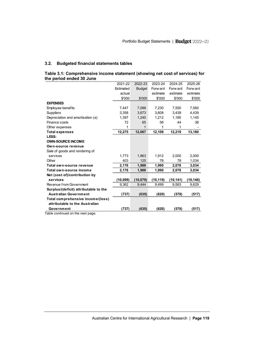#### **3.2. Budgeted financial statements tables**

| Table 3.1: Comprehensive income statement (showing net cost of services) for |  |
|------------------------------------------------------------------------------|--|
| the period ended 30 June                                                     |  |

| the period ended 30 June              |           |               |           |           |           |
|---------------------------------------|-----------|---------------|-----------|-----------|-----------|
|                                       | 2021-22   | 2022-23       | 2023-24   | 2024-25   | 2025-26   |
|                                       | Estimated | <b>Budget</b> | Forw ard  | Forw ard  | Forw ard  |
|                                       | actual    |               | estimate  | estimate  | estimate  |
|                                       | \$'000    | \$'000        | \$'000    | \$'000    | \$'000    |
| <b>EXPENSES</b>                       |           |               |           |           |           |
| <b>Employee benefits</b>              | 7,447     | 7,088         | 7,230     | 7,550     | 7,560     |
| <b>Suppliers</b>                      | 3,358     | 3,673         | 3,608     | 3.439     | 4,439     |
| Depreciation and amortisation (a)     | 1,397     | 1,240         | 1,212     | 1,185     | 1,145     |
| Finance costs                         | 72        | 65            | 58        | 44        | 36        |
| Other expenses                        | 1         | 1             | 1         | 1         |           |
| <b>Total expenses</b>                 | 12,275    | 12,067        | 12,109    | 12,219    | 13,180    |
| LESS:                                 |           |               |           |           |           |
| <b>OWN-SOURCE INCOME</b>              |           |               |           |           |           |
| Own-source revenue                    |           |               |           |           |           |
| Sale of goods and rendering of        |           |               |           |           |           |
| services                              | 1,773     | 1,863         | 1,912     | 2,000     | 2,000     |
| Other                                 | 403       | 125           | 78        | 78        | 1,034     |
| Total own-source revenue              | 2,176     | 1,988         | 1,990     | 2,078     | 3,034     |
| Total own-source income               | 2,176     | 1,988         | 1,990     | 2,078     | 3,034     |
| Net (cost of)/contribution by         |           |               |           |           |           |
| services                              | (10, 099) | (10, 079)     | (10, 119) | (10, 141) | (10, 146) |
| Revenue from Government               | 9,362     | 9,444         | 9,499     | 9,563     | 9,629     |
| Surplus/(deficit) attributable to the |           |               |           |           |           |
| <b>Australian Government</b>          | (737)     | (635)         | (620)     | (578)     | (517)     |
| Total comprehensive income/(loss)     |           |               |           |           |           |
| attributable to the Australian        |           |               |           |           |           |
| Government                            | (737)     | (635)         | (620)     | (578)     | (517)     |
| Tablo continued on the novt           |           |               |           |           |           |

Table continued on the next page.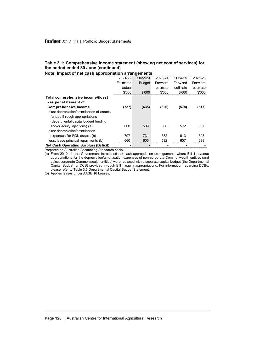#### **Table 3.1: Comprehensive income statement (showing net cost of services) for the period ended 30 June (continued)**

| Note: Impact of net cash appropriation arrangements      |           |               |          |          |          |
|----------------------------------------------------------|-----------|---------------|----------|----------|----------|
|                                                          | 2021-22   | 2022-23       | 2023-24  | 2024-25  | 2025-26  |
|                                                          | Estimated | <b>Budget</b> | Forw ard | Forw ard | Forw ard |
|                                                          | actual    |               | estimate | estimate | estimate |
|                                                          | \$'000    | \$'000        | \$'000   | \$'000   | \$'000   |
| Total comprehensive income/(loss)                        |           |               |          |          |          |
| - as per statement of                                    |           |               |          |          |          |
| <b>Comprehensive Income</b>                              | (737)     | (635)         | (620)    | (578)    | (517)    |
| plus: depreciation/amortisation of assets                |           |               |          |          |          |
| funded through appropriations                            |           |               |          |          |          |
| (departmental capital budget funding                     |           |               |          |          |          |
| and/or equity injections) (a)                            | 600       | 509           | 580      | 572      | 537      |
| plus: depreciation/amortisation                          |           |               |          |          |          |
| expenses for ROU assets (b)                              | 797       | 731           | 632      | 613      | 608      |
| less: lease principal repayments (b)                     | 660       | 605           | 592      | 607      | 628      |
| Net Cash Operating Surplus/ (Deficit)                    |           |               |          |          |          |
| <b>Droparod on Australian Accounting Standards basis</b> |           |               |          |          |          |

Prepared on Australian Accounting Standards basis.

(a) From 2010-11, the Government introduced net cash appropriation arrangements where Bill 1 revenue appropriations for the depreciation/amortisation expenses of non-corporate Commonwealth entities (and select corporate Commonwealth entities) were replaced with a separate capital budget (the Departmental Capital Budget, or DCB) provided through Bill 1 equity appropriations. For information regarding DCBs, please refer to Table 3.5 Departmental Capital Budget Statement.

(b) Applies leases under AASB 16 Leases.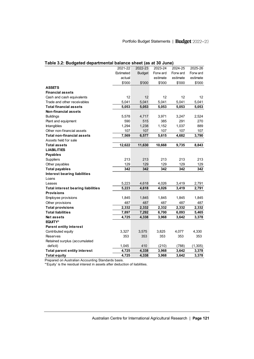| Table 3.2: Budgeted departmental balance sheet (as at 30 June) |           |               |          |          |          |  |
|----------------------------------------------------------------|-----------|---------------|----------|----------|----------|--|
|                                                                | 2021-22   | 2022-23       | 2023-24  | 2024-25  | 2025-26  |  |
|                                                                | Estimated | <b>Budget</b> | Forw ard | Forw ard | Forw ard |  |
|                                                                | actual    |               | estimate | estimate | estimate |  |
|                                                                | \$'000    | \$'000        | \$'000   | \$'000   | \$'000   |  |
| <b>ASSETS</b>                                                  |           |               |          |          |          |  |
| <b>Financial assets</b>                                        |           |               |          |          |          |  |
| Cash and cash equivalents                                      | 12        | 12            | 12       | 12       | 12       |  |
| Trade and other receivables                                    | 5,041     | 5,041         | 5,041    | 5,041    | 5,041    |  |
| <b>Total financial assets</b>                                  | 5,053     | 5,053         | 5,053    | 5,053    | 5,053    |  |
| <b>Non-financial assets</b>                                    |           |               |          |          |          |  |
| <b>Buildings</b>                                               | 5,578     | 4,717         | 3,971    | 3,247    | 2,524    |  |
| Plant and equipment                                            | 590       | 515           | 385      | 291      | 270      |  |
| Intangibles                                                    | 1,294     | 1,238         | 1,152    | 1,037    | 889      |  |
| Other non-financial assets                                     | 107       | 107           | 107      | 107      | 107      |  |
| <b>Total non-financial assets</b>                              | 7,569     | 6,577         | 5,615    | 4,682    | 3,790    |  |
| Assets held for sale                                           |           |               |          |          |          |  |
| <b>Total assets</b>                                            | 12,622    | 11,630        | 10,668   | 9,735    | 8,843    |  |
| <b>LIABILITIES</b>                                             |           |               |          |          |          |  |
| <b>Payables</b>                                                |           |               |          |          |          |  |
| Suppliers                                                      | 213       | 213           | 213      | 213      | 213      |  |
| Other payables                                                 | 129       | 129           | 129      | 129      | 129      |  |
| <b>Total payables</b>                                          | 342       | 342           | 342      | 342      | 342      |  |
| <b>Interest bearing liabilities</b>                            |           |               |          |          |          |  |
| Loans                                                          |           |               |          |          |          |  |
| Leases                                                         | 5,223     | 4,618         | 4,026    | 3,419    | 2,791    |  |
| <b>Total interest bearing liabilities</b>                      | 5,223     | 4,618         | 4,026    | 3,419    | 2,791    |  |
| <b>Provisions</b>                                              |           |               |          |          |          |  |
| Employee provisions                                            | 1,845     | 1,845         | 1,845    | 1,845    | 1,845    |  |
| Other provisions                                               | 487       | 487           | 487      | 487      | 487      |  |
| <b>Total provisions</b>                                        | 2,332     | 2,332         | 2,332    | 2,332    | 2,332    |  |
| <b>Total liabilities</b>                                       | 7,897     | 7,292         | 6,700    | 6,093    | 5,465    |  |
| <b>Netassets</b>                                               | 4,725     | 4,338         | 3,968    | 3,642    | 3,378    |  |
| EQUITY*                                                        |           |               |          |          |          |  |
| <b>Parent entity interest</b>                                  |           |               |          |          |          |  |
| Contributed equity                                             | 3,327     | 3,575         | 3,825    | 4,077    | 4,330    |  |
| <b>Reserves</b>                                                | 353       | 353           | 353      | 353      | 353      |  |
| Retained surplus (accumulated                                  |           |               |          |          |          |  |
| deficit)                                                       | 1,045     | 410           | (210)    | (788)    | (1, 305) |  |
| <b>Total parent entity interest</b>                            | 4,725     | 4,338         | 3,968    | 3,642    | 3,378    |  |
| <b>Total equity</b>                                            | 4,725     | 4,338         | 3,968    | 3,642    | 3,378    |  |

\*'Equity' is the residual interest in assets after deduction of liabilities.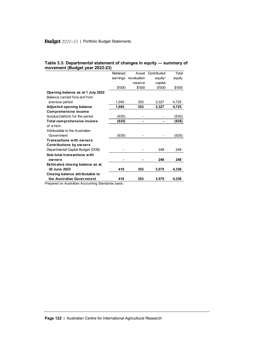|  |                                | Table 3.3: Departmental statement of changes in equity - summary of |  |
|--|--------------------------------|---------------------------------------------------------------------|--|
|  | movement (Budget year 2022-23) |                                                                     |  |

|                                   | Retained | Asset       | Contributed | Total  |
|-----------------------------------|----------|-------------|-------------|--------|
|                                   | earnings | revaluation | equity/     | equity |
|                                   |          | reserve     | capital     |        |
|                                   | \$'000   | \$'000      | \$'000      | \$'000 |
| Opening balance as at 1 July 2022 |          |             |             |        |
| Balance carried forw ard from     |          |             |             |        |
| previous period                   | 1,045    | 353         | 3,327       | 4,725  |
| <b>Adjusted opening balance</b>   | 1,045    | 353         | 3,327       | 4,725  |
| <b>Comprehensive income</b>       |          |             |             |        |
| Surplus/(deficit) for the period  | (635)    |             |             | (635)  |
| Total comprehensive income        | (635)    |             |             | (635)  |
| of which:                         |          |             |             |        |
| Attributable to the Australian    |          |             |             |        |
| Government                        | (635)    |             |             | (635)  |
| <b>Transactions with owners</b>   |          |             |             |        |
| <b>Contributions by owners</b>    |          |             |             |        |
| Departmental Capital Budget (DCB) |          |             | 248         | 248    |
| Sub-total transactions with       |          |             |             |        |
| owners                            |          |             | 248         | 248    |
| Estimated closing balance as at   |          |             |             |        |
| 30 June 2023                      | 410      | 353         | 3,575       | 4.338  |
| Closing balance attributable to   |          |             |             |        |
| the Australian Government         | 410      | 353         | 3,575       | 4.338  |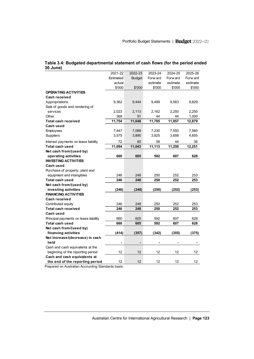| 30 June)                              |           |               |          |          |          |
|---------------------------------------|-----------|---------------|----------|----------|----------|
|                                       | 2021-22   | 2022-23       | 2023-24  | 2024-25  | 2025-26  |
|                                       | Estimated | <b>Budget</b> | Forw ard | Forw ard | Forw ard |
|                                       | actual    |               | estimate | estimate | estimate |
|                                       | \$'000    | \$'000        | \$'000   | \$'000   | \$'000   |
| <b>OPERATING ACTIVITIES</b>           |           |               |          |          |          |
| Cash received                         |           |               |          |          |          |
| Appropriations                        | 9,362     | 9,444         | 9,499    | 9,563    | 9,629    |
| Sale of goods and rendering of        |           |               |          |          |          |
| services                              | 2,023     | 2,113         | 2,162    | 2,250    | 2,250    |
| Other                                 | 369       | 91            | 44       | 44       | 1,000    |
| Total cash received                   | 11,754    | 11,648        | 11,705   | 11,857   | 12,879   |
| Cash used                             |           |               |          |          |          |
| Employees                             | 7,447     | 7,088         | 7,230    | 7,550    | 7,560    |
| <b>Suppliers</b>                      | 3,575     | 3,890         | 3,825    | 3,656    | 4,655    |
| Interest payments on lease liability  | 72        | 65            | 58       | 44       | 36       |
| Total cash used                       | 11,094    | 11,043        | 11,113   | 11,250   | 12,251   |
| Net cash from/(used by)               |           |               |          |          |          |
| operating activities                  | 660       | 605           | 592      | 607      | 628      |
| <b>INVESTING ACTIVITIES</b>           |           |               |          |          |          |
| Cash used                             |           |               |          |          |          |
| Purchase of property, plant and       |           |               |          |          |          |
| equipment and intangibles             | 246       | 248           | 250      | 252      | 253      |
| Total cash used                       | 246       | 248           | 250      | 252      | 253      |
| Net cash from/(used by)               |           |               |          |          |          |
| investing activities                  | (246)     | (248)         | (250)    | (252)    | (253)    |
| <b>FINANCING ACTIVITIES</b>           |           |               |          |          |          |
| Cash received                         |           |               |          |          |          |
| Contributed equity                    | 246       | 248           | 250      | 252      | 253      |
| <b>Total cash received</b>            | 246       | 248           | 250      | 252      | 253      |
| Cash used                             |           |               |          |          |          |
| Principal payments on lease liability | 660       | 605           | 592      | 607      | 628      |
| Total cash used                       | 660       | 605           | 592      | 607      | 628      |
| Net cash from/(used by)               |           |               |          |          |          |
| financing activities                  | (414)     | (357)         | (342)    | (355)    | (375)    |
| Net increase/(decrease) in cash       |           |               |          |          |          |
| held                                  |           |               |          |          |          |
| Cash and cash equivalents at the      |           |               |          |          |          |
| beginning of the reporting period     | 12        | 12            | 12       | 12       | 12       |
| Cash and cash equivalents at          |           |               |          |          |          |
| the end of the reporting period       | 12        | 12            | 12       | 12       | 12       |

#### **Table 3.4: Budgeted departmental statement of cash flows (for the period ended 30 June)**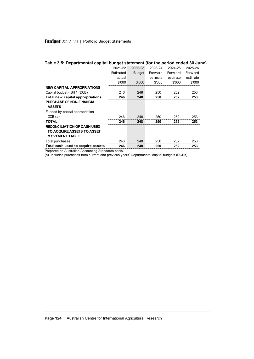| Table 3.5: Departmental capital budget statement (for the period ended 30 June)           |           |         |          |          |          |
|-------------------------------------------------------------------------------------------|-----------|---------|----------|----------|----------|
|                                                                                           | 2021-22   | 2022-23 | 2023-24  | 2024-25  | 2025-26  |
|                                                                                           | Estimated | Budget  | Forw ard | Forw ard | Forw ard |
|                                                                                           | actual    |         | estimate | estimate | estimate |
|                                                                                           | \$'000    | \$'000  | \$'000   | \$'000   | \$'000   |
| <b>NEW CAPITAL APPROPRIATIONS</b>                                                         |           |         |          |          |          |
| Capital budget - Bill 1 (DCB)                                                             | 246       | 248     | 250      | 252      | 253      |
| Total new capital appropriations                                                          | 246       | 248     | 250      | 252      | 253      |
| <b>PURCHASE OF NON-FINANCIAL</b><br><b>ASSETS</b>                                         |           |         |          |          |          |
| Funded by capital appropriation -                                                         |           |         |          |          |          |
| DCB(a)                                                                                    | 246       | 248     | 250      | 252      | 253      |
| <b>TOTAL</b>                                                                              | 246       | 248     | 250      | 252      | 253      |
| <b>RECONCILIATION OF CASH USED</b><br>TO ACQUIRE ASSETS TO ASSET<br><b>MOVEMENT TABLE</b> |           |         |          |          |          |
| Total purchases                                                                           | 246       | 248     | 250      | 252      | 253      |
| Total cash used to acquire assets                                                         | 246       | 248     | 250      | 252      | 253      |

(a) Includes purchases from current and previous years' Departmental capital budgets (DCBs).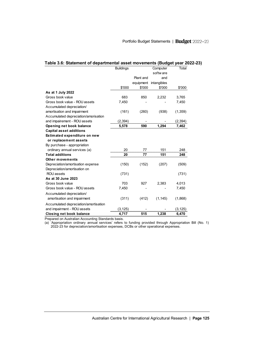| Table 3.6: Statement of departmental asset movements (Budget year 2022-23) |                  |           |             |          |
|----------------------------------------------------------------------------|------------------|-----------|-------------|----------|
|                                                                            | <b>Buildings</b> |           | Computer    | Total    |
|                                                                            |                  |           | softw are   |          |
|                                                                            |                  | Plant and | and         |          |
|                                                                            |                  | equipment | intangibles |          |
|                                                                            | \$'000           | \$'000    | \$'000      | \$'000   |
| As at 1 July 2022                                                          |                  |           |             |          |
| Gross book value                                                           | 683              | 850       | 2,232       | 3,765    |
| Gross book value - ROU assets                                              | 7,450            |           |             | 7,450    |
| Accumulated depreciation/                                                  |                  |           |             |          |
| amortisation and impairment                                                | (161)            | (260)     | (938)       | (1,359)  |
| Accumulated depreciation/amorisation                                       |                  |           |             |          |
| and impairement - ROU assets                                               | (2, 394)         |           |             | (2,394)  |
| Opening net book balance                                                   | 5,578            | 590       | 1.294       | 7.462    |
| <b>Capital asset additions</b>                                             |                  |           |             |          |
| Estimated expenditure on new                                               |                  |           |             |          |
| or replacement assets                                                      |                  |           |             |          |
| By purchase - appropriation                                                |                  |           |             |          |
| ordinary annual services (a)                                               | 20               | 77        | 151         | 248      |
| <b>Total additions</b>                                                     | 20               | 77        | 151         | 248      |
| Other movements                                                            |                  |           |             |          |
| Depreciation/amortisation expense                                          | (150)            | (152)     | (207)       | (509)    |
| Depreciation/amortisation on                                               |                  |           |             |          |
| ROU assets                                                                 | (731)            |           |             | (731)    |
| As at 30 June 2023                                                         |                  |           |             |          |
| Gross book value                                                           | 703              | 927       | 2,383       | 4,013    |
| Gross book value - ROU assets                                              | 7,450            |           |             | 7,450    |
| Accumulated depreciation/                                                  |                  |           |             |          |
| amortisation and impairment                                                | (311)            | (412)     | (1, 145)    | (1,868)  |
| Accumulated depreciation/amortisation                                      |                  |           |             |          |
| and impairment - ROU assets                                                | (3, 125)         |           |             | (3, 125) |
| <b>Closing net book balance</b>                                            | 4,717            | 515       | 1,238       | 6,470    |

(a) 'Appropriation ordinary annual services' refers to funding provided through Appropriation Bill (No. 1) 2022-23 for depreciation/amortisation expenses, DCBs or other operational expenses.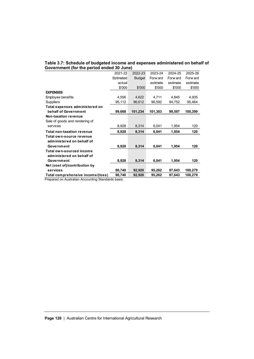## **Table 3.7: Schedule of budgeted income and expenses administered on behalf of**

| Government (for the period ended 30 June) |           |               |          |          |          |  |
|-------------------------------------------|-----------|---------------|----------|----------|----------|--|
|                                           | 2021-22   | 2022-23       | 2023-24  | 2024-25  | 2025-26  |  |
|                                           | Estimated | <b>Budget</b> | Forw ard | Forw ard | Forw ard |  |
|                                           | actual    |               | estimate | estimate | estimate |  |
|                                           | \$'000    | \$'000        | \$'000   | \$'000   | \$'000   |  |
| <b>EXPENSES</b>                           |           |               |          |          |          |  |
| Employee benefits                         | 4,556     | 4,622         | 4,711    | 4,845    | 4,935    |  |
| <b>Suppliers</b>                          | 95,112    | 96,612        | 96,592   | 94,752   | 95,464   |  |
| Total expenses administered on            |           |               |          |          |          |  |
| behalf of Government                      | 99,668    | 101,234       | 101,303  | 99,597   | 100,399  |  |
| <b>Non-taxation revenue</b>               |           |               |          |          |          |  |
| Sale of goods and rendering of            |           |               |          |          |          |  |
| services                                  | 8,928     | 8,314         | 6,041    | 1,954    | 120      |  |
| <b>Total non-taxation revenue</b>         | 8,928     | 8,314         | 6,041    | 1,954    | 120      |  |
| Total own-source revenue                  |           |               |          |          |          |  |
| administered on behalf of                 |           |               |          |          |          |  |
| Government                                | 8,928     | 8,314         | 6,041    | 1,954    | 120      |  |
| Total own-sourced income                  |           |               |          |          |          |  |
| administered on behalf of                 |           |               |          |          |          |  |
| Government                                | 8,928     | 8,314         | 6,041    | 1.954    | 120      |  |
| Net (cost of)/contribution by             |           |               |          |          |          |  |
| services                                  | 90,740    | 92,920        | 95,262   | 97,643   | 100,279  |  |
| Total comprehensive income/(loss)         | 90,740    | 92,920        | 95,262   | 97,643   | 100,279  |  |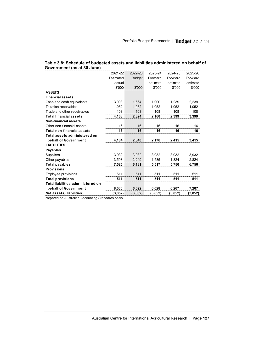| Government (as at 30 June)        |           |               |          |          |          |
|-----------------------------------|-----------|---------------|----------|----------|----------|
|                                   | 2021-22   | 2022-23       | 2023-24  | 2024-25  | 2025-26  |
|                                   | Estimated | <b>Budget</b> | Forw ard | Forw ard | Forw ard |
|                                   | actual    |               | estimate | estimate | estimate |
|                                   | \$'000    | \$'000        | \$'000   | \$'000   | \$'000   |
| <b>ASSETS</b>                     |           |               |          |          |          |
| <b>Financial assets</b>           |           |               |          |          |          |
| Cash and cash equivalents         | 3,008     | 1,664         | 1,000    | 1,239    | 2,239    |
| <b>Taxation receivables</b>       | 1,052     | 1,052         | 1,052    | 1,052    | 1,052    |
| Trade and other receivables       | 108       | 108           | 108      | 108      | 108      |
| <b>Total financial assets</b>     | 4,168     | 2,824         | 2,160    | 2,399    | 3,399    |
| Non-financial assets              |           |               |          |          |          |
| Other non-financial assets        | 16        | 16            | 16       | 16       | 16       |
| <b>Total non-financial assets</b> | 16        | 16            | 16       | 16       | 16       |
| Total assets administered on      |           |               |          |          |          |
| behalf of Government              | 4,184     | 2,840         | 2,176    | 2,415    | 3,415    |
| <b>LIABILITIES</b>                |           |               |          |          |          |
| <b>Payables</b>                   |           |               |          |          |          |
| <b>Suppliers</b>                  | 3,932     | 3.932         | 3,932    | 3.932    | 3,932    |
| Other payables                    | 3,593     | 2,249         | 1,585    | 1,824    | 2,824    |
| <b>Total payables</b>             | 7,525     | 6,181         | 5,517    | 5,756    | 6,756    |
| <b>Provisions</b>                 |           |               |          |          |          |
| Employee provisions               | 511       | 511           | 511      | 511      | 511      |
| <b>Total provisions</b>           | 511       | 511           | 511      | 511      | 511      |
| Total liabilities administered on |           |               |          |          |          |
| behalf of Government              | 8,036     | 6,692         | 6,028    | 6,267    | 7,267    |
| Net assets/(liabilities)          | (3,852)   | (3, 852)      | (3, 852) | (3,852)  | (3,852)  |

## **Table 3.8: Schedule of budgeted assets and liabilities administered on behalf of**